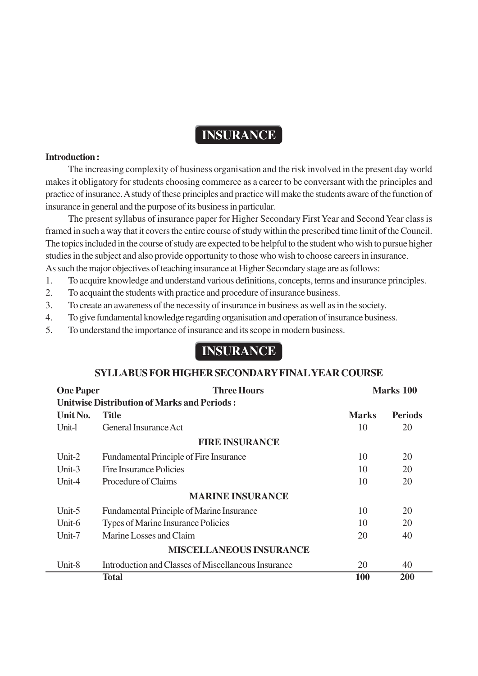## **INSURANCE**

#### **Introduction :**

The increasing complexity of business organisation and the risk involved in the present day world makes it obligatory for students choosing commerce as a career to be conversant with the principles and practice of insurance. A study of these principles and practice will make the students aware of the function of insurance in general and the purpose of its business in particular.

The present syllabus of insurance paper for Higher Secondary First Year and Second Year class is framed in such a way that it covers the entire course of study within the prescribed time limit of the Council. The topics included in the course of study are expected to be helpful to the student who wish to pursue higher studies in the subject and also provide opportunity to those who wish to choose careers in insurance. As such the major objectives of teaching insurance at Higher Secondary stage are as follows:

- 1. To acquire knowledge and understand various definitions, concepts, terms and insurance principles.
- 2. To acquaint the students with practice and procedure of insurance business.
- 3. To create an awareness of the necessity of insurance in business as well as in the society.
- 4. To give fundamental knowledge regarding organisation and operation of insurance business.
- 5. To understand the importance of insurance and its scope in modern business.

# **INSURANCE**

#### **SYLLABUS FOR HIGHER SECONDARY FINAL YEAR COURSE**

| <b>One Paper</b>                                   | <b>Three Hours</b>                                  |              | Marks 100      |  |
|----------------------------------------------------|-----------------------------------------------------|--------------|----------------|--|
| <b>Unitwise Distribution of Marks and Periods:</b> |                                                     |              |                |  |
| Unit No.                                           | <b>Title</b>                                        | <b>Marks</b> | <b>Periods</b> |  |
| Unit-l                                             | General Insurance Act                               | 10           | 20             |  |
| <b>FIRE INSURANCE</b>                              |                                                     |              |                |  |
| Unit- $2$                                          | <b>Fundamental Principle of Fire Insurance</b>      | 10           | 20             |  |
| Unit- $3$                                          | Fire Insurance Policies                             | 10           | 20             |  |
| Unit-4                                             | Procedure of Claims                                 | 10           | 20             |  |
| <b>MARINE INSURANCE</b>                            |                                                     |              |                |  |
| Unit-5                                             | Fundamental Principle of Marine Insurance           | 10           | 20             |  |
| Unit-6                                             | Types of Marine Insurance Policies                  | 10           | 20             |  |
| Unit-7                                             | Marine Losses and Claim                             | 20           | 40             |  |
| <b>MISCELLANEOUS INSURANCE</b>                     |                                                     |              |                |  |
| Unit-8                                             | Introduction and Classes of Miscellaneous Insurance | 20           | 40             |  |
|                                                    | <b>Total</b>                                        | 100          | 200            |  |